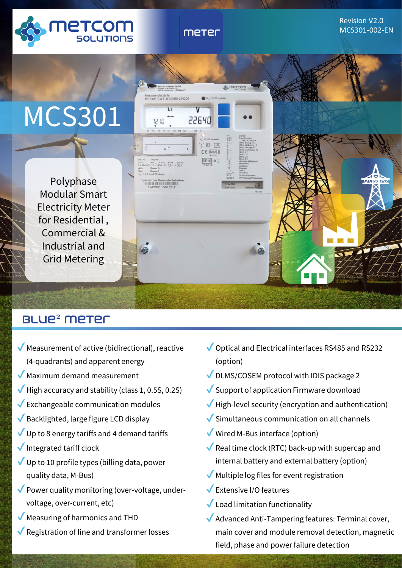

meter

# Revision V2.0 MCS301-002-EN



# blue**²** meter

- $\sqrt{\ }$  Measurement of active (bidirectional), reactive (4-quadrants) and apparent energy
- $\sqrt{\phantom{a}}$  Maximum demand measurement
- $\blacktriangledown$  High accuracy and stability (class 1, 0.5S, 0.2S)
- $\sqrt{\frac{1}{2}}$  Exchangeable communication modules
- Backlighted, large figure LCD display
- $\sqrt{ }$  Up to 8 energy tariffs and 4 demand tariffs
- $\sqrt{}$  Integrated tariff clock
- $\sqrt{ }$  Up to 10 profile types (billing data, power quality data, M-Bus)
- $\sqrt{\ }$  Power quality monitoring (over-voltage, undervoltage, over-current, etc)
- Measuring of harmonics and THD
- Registration of line and transformer losses
- Optical and Electrical interfaces RS485 and RS232 (option)
- DLMS/COSEM protocol with IDIS package 2
- $\sqrt{\frac{1}{2}}$  Support of application Firmware download
- $\blacktriangledown$  High-level security (encryption and authentication)
- $\sqrt{\frac{1}{2}}$  Simultaneous communication on all channels
- Wired M-Bus interface (option)
- Real time clock (RTC) back-up with supercap and internal battery and external battery (option)
- $\sqrt{\ }$  Multiple log files for event registration
- Extensive I/O features
- $\sqrt{\phantom{a}}$  Load limitation functionality
- Advanced Anti-Tampering features: Terminal cover, main cover and module removal detection, magnetic field, phase and power failure detection